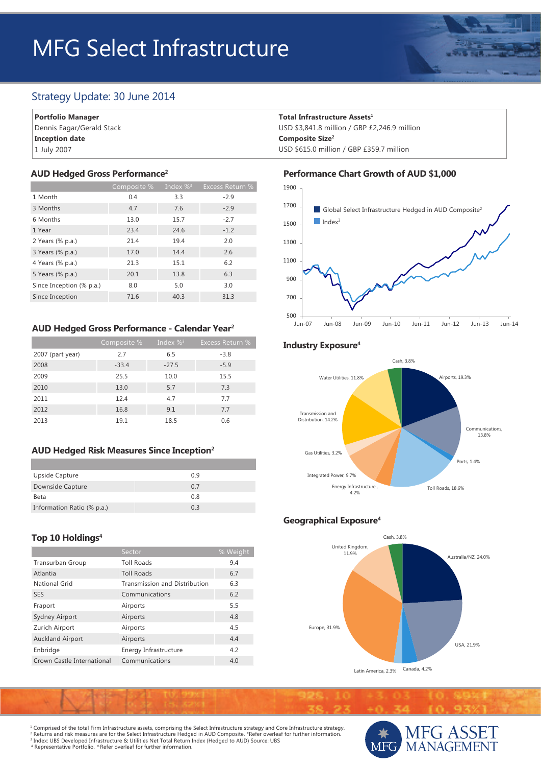# MFG Select Infrastructure

# Strategy Update: 30 June 2014

**Portfolio Manager** Dennis Eagar/Gerald Stack **Inception date**

1 July 2007

#### **AUD Hedged Gross Performance2**

|                          | Composite % | Index $\%$ <sup>3</sup> | Excess Return % |
|--------------------------|-------------|-------------------------|-----------------|
| 1 Month                  | 0.4         | 3.3                     | $-2.9$          |
| 3 Months                 | 4.7         | 7.6                     | $-2.9$          |
| 6 Months                 | 13.0        | 15.7                    | $-2.7$          |
| 1 Year                   | 23.4        | 24.6                    | $-1.2$          |
| 2 Years (% p.a.)         | 21.4        | 19.4                    | 2.0             |
| 3 Years (% p.a.)         | 17.0        | 14.4                    | 2.6             |
| 4 Years (% p.a.)         | 21.3        | 15.1                    | 6.2             |
| 5 Years (% p.a.)         | 20.1        | 13.8                    | 6.3             |
| Since Inception (% p.a.) | 8.0         | 5.0                     | 3.0             |
| Since Inception          | 71.6        | 40.3                    | 31.3            |

## **AUD Hedged Gross Performance - Calendar Year2**

|                  | Composite % | Index $\%$ <sup>3</sup> | <b>Excess Return %</b> |
|------------------|-------------|-------------------------|------------------------|
| 2007 (part year) | 2.7         | 6.5                     | $-3.8$                 |
| 2008             | $-33.4$     | $-27.5$                 | $-5.9$                 |
| 2009             | 25.5        | 10.0                    | 15.5                   |
| 2010             | 13.0        | 5.7                     | 7.3                    |
| 2011             | 12.4        | 4.7                     | 7.7                    |
| 2012             | 16.8        | 9.1                     | 7.7                    |
| 2013             | 19.1        | 18.5                    | 0.6                    |

## **AUD Hedged Risk Measures Since Inception2**

| Upside Capture             | 0.9 |
|----------------------------|-----|
| Downside Capture           | 07  |
| Beta                       | 0.8 |
| Information Ratio (% p.a.) | 03  |

## **Top 10 Holdings4**

|                            | Sector                               | % Weight |
|----------------------------|--------------------------------------|----------|
| <b>Transurban Group</b>    | <b>Toll Roads</b>                    | 9.4      |
| Atlantia                   | <b>Toll Roads</b>                    | 6.7      |
| National Grid              | <b>Transmission and Distribution</b> | 6.3      |
| <b>SES</b>                 | Communications                       | 6.2      |
| Fraport                    | Airports                             | 5.5      |
| <b>Sydney Airport</b>      | Airports                             | 4.8      |
| Zurich Airport             | Airports                             | 4.5      |
| <b>Auckland Airport</b>    | Airports                             | 4.4      |
| Enbridge                   | Energy Infrastructure                | 4.2      |
| Crown Castle International | Communications                       | 4.0      |

#### **Total Infrastructure Assets1**

USD \$3,841.8 million / GBP £2,246.9 million **Composite Size2** USD \$615.0 million / GBP £359.7 million

#### **Performance Chart Growth of AUD \$1,000**



## **Industry Exposure4**



## **Geographical Exposure4**



1 Comprised of the total Firm Infrastructure assets, comprising the Select Infrastructure strategy and Core Infrastructure strategy. <sup>2</sup> Returns and risk measures are for the Select Infrastructure Hedged in AUD Composite. \*Refer overleaf for further information.<br><sup>3</sup> Index: UBS Developed Infrastructure & Utilities Net Total Return Index (Hedged to AUD) S 4 Representative Portfolio. ^Refer overleaf for further information.

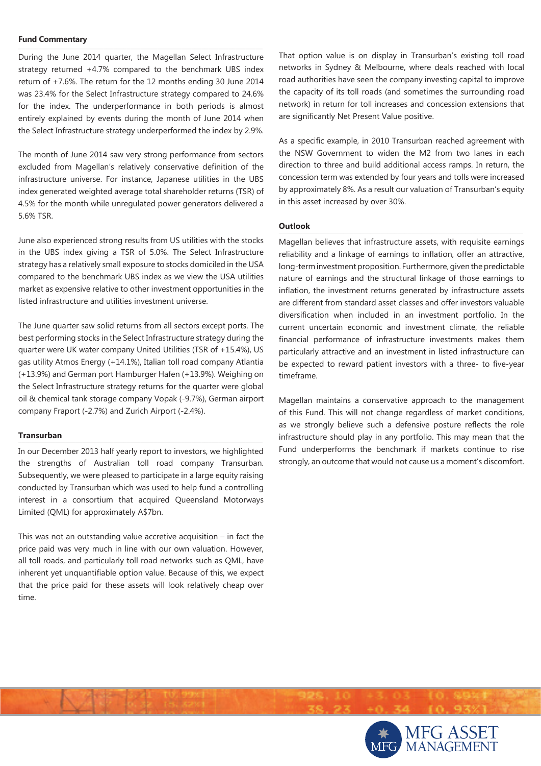#### **Fund Commentary**  $\mathcal{L} = \{ \mathcal{L} \mid \mathcal{L} \in \mathcal{L} \}$

During the June 2014 quarter, the Magellan Select Infrastructure strategy returned +4.7% compared to the benchmark UBS index return of +7.6%. The return for the 12 months ending 30 June 2014 was 23.4% for the Select Infrastructure strategy compared to 24.6% for the index. The underperformance in both periods is almost entirely explained by events during the month of June 2014 when the Select Infrastructure strategy underperformed the index by 2.9%.

The month of June 2014 saw very strong performance from sectors excluded from Magellan's relatively conservative definition of the infrastructure universe. For instance, Japanese utilities in the UBS index generated weighted average total shareholder returns (TSR) of 4.5% for the month while unregulated power generators delivered a 5.6% TSR.

June also experienced strong results from US utilities with the stocks in the UBS index giving a TSR of 5.0%. The Select Infrastructure strategy has a relatively small exposure to stocks domiciled in the USA compared to the benchmark UBS index as we view the USA utilities market as expensive relative to other investment opportunities in the listed infrastructure and utilities investment universe.

The June quarter saw solid returns from all sectors except ports. The best performing stocks in the Select Infrastructure strategy during the quarter were UK water company United Utilities (TSR of +15.4%), US gas utility Atmos Energy (+14.1%), Italian toll road company Atlantia (+13.9%) and German port Hamburger Hafen (+13.9%). Weighing on the Select Infrastructure strategy returns for the quarter were global oil & chemical tank storage company Vopak (-9.7%), German airport company Fraport (-2.7%) and Zurich Airport (-2.4%).

## **Transurban \_\_\_\_\_\_\_\_\_\_\_\_\_\_\_\_\_\_\_\_\_\_\_\_\_\_\_\_\_\_\_\_\_\_\_\_\_\_\_\_\_\_\_\_\_\_\_\_\_\_\_\_\_\_\_\_\_\_\_\_\_\_\_\_\_\_\_\_\_\_\_\_**

In our December 2013 half yearly report to investors, we highlighted the strengths of Australian toll road company Transurban. Subsequently, we were pleased to participate in a large equity raising conducted by Transurban which was used to help fund a controlling interest in a consortium that acquired Queensland Motorways Limited (QML) for approximately A\$7bn.

This was not an outstanding value accretive acquisition – in fact the price paid was very much in line with our own valuation. However, all toll roads, and particularly toll road networks such as QML, have inherent yet unquantifiable option value. Because of this, we expect that the price paid for these assets will look relatively cheap over time.

That option value is on display in Transurban's existing toll road networks in Sydney & Melbourne, where deals reached with local road authorities have seen the company investing capital to improve the capacity of its toll roads (and sometimes the surrounding road network) in return for toll increases and concession extensions that are significantly Net Present Value positive.

As a specific example, in 2010 Transurban reached agreement with the NSW Government to widen the M2 from two lanes in each direction to three and build additional access ramps. In return, the concession term was extended by four years and tolls were increased by approximately 8%. As a result our valuation of Transurban's equity in this asset increased by over 30%.

#### **Outlook**  $\blacksquare$

Magellan believes that infrastructure assets, with requisite earnings reliability and a linkage of earnings to inflation, offer an attractive, long-term investment proposition. Furthermore, given the predictable nature of earnings and the structural linkage of those earnings to inflation, the investment returns generated by infrastructure assets are different from standard asset classes and offer investors valuable diversification when included in an investment portfolio. In the current uncertain economic and investment climate, the reliable financial performance of infrastructure investments makes them particularly attractive and an investment in listed infrastructure can be expected to reward patient investors with a three- to five-year timeframe.

Magellan maintains a conservative approach to the management of this Fund. This will not change regardless of market conditions, as we strongly believe such a defensive posture reflects the role infrastructure should play in any portfolio. This may mean that the Fund underperforms the benchmark if markets continue to rise strongly, an outcome that would not cause us a moment's discomfort.